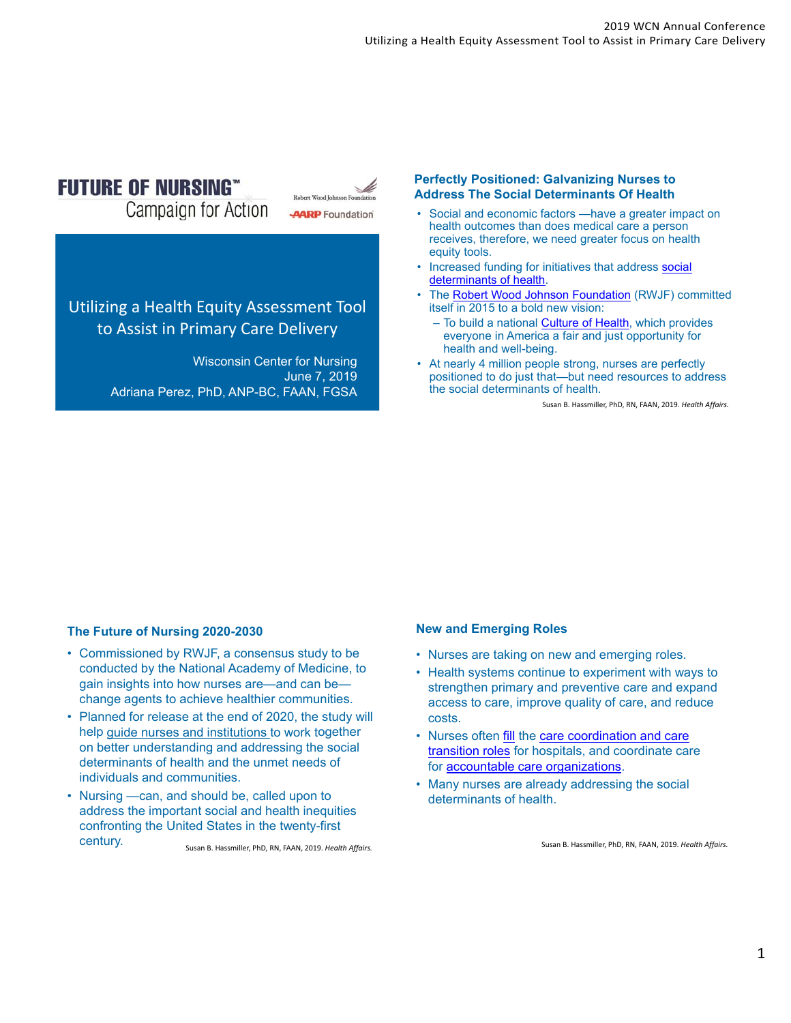# **FUTURE OF NURSING**"

**Campaign for Action** 



# Utilizing a Health Equity Assessment Tool to Assist in Primary Care Delivery

Wisconsin Center for Nursing June 7, 2019 Adriana Perez, PhD, ANP-BC, FAAN, FGSA

#### **Perfectly Positioned: Galvanizing Nurses to Address The Social Determinants Of Health**

- Social and economic factors —have a greater impact on health outcomes than does medical care a person receives, therefore, we need greater focus on health equity tools.
- Increased funding for initiatives that address social determinants of health.
- The Robert Wood Johnson Foundation (RWJF) committed itself in 2015 to a bold new vision:
	- To build a national **Culture of Health**, which provides everyone in America a fair and just opportunity for health and well-being.
- At nearly 4 million people strong, nurses are perfectly positioned to do just that—but need resources to address the social determinants of health.

Susan B. Hassmiller, PhD, RN, FAAN, 2019. *Health Affairs.*

## **The Future of Nursing 2020-2030**

- Commissioned by RWJF, a consensus study to be conducted by the National Academy of Medicine, to gain insights into how nurses are—and can be change agents to achieve healthier communities.
- Planned for release at the end of 2020, the study will help guide nurses and institutions to work together on better understanding and addressing the social determinants of health and the unmet needs of individuals and communities.
- Nursing —can, and should be, called upon to address the important social and health inequities confronting the United States in the twenty-first century. Susan B. Hassmiller, PhD, RN, FAAN, 2019. *Health Affairs.*

#### **New and Emerging Roles**

- Nurses are taking on new and emerging roles.
- Health systems continue to experiment with ways to strengthen primary and preventive care and expand access to care, improve quality of care, and reduce costs.
- Nurses often fill the care coordination and care transition roles for hospitals, and coordinate care for accountable care organizations.
- Many nurses are already addressing the social determinants of health.

Susan B. Hassmiller, PhD, RN, FAAN, 2019. *Health Affairs.*